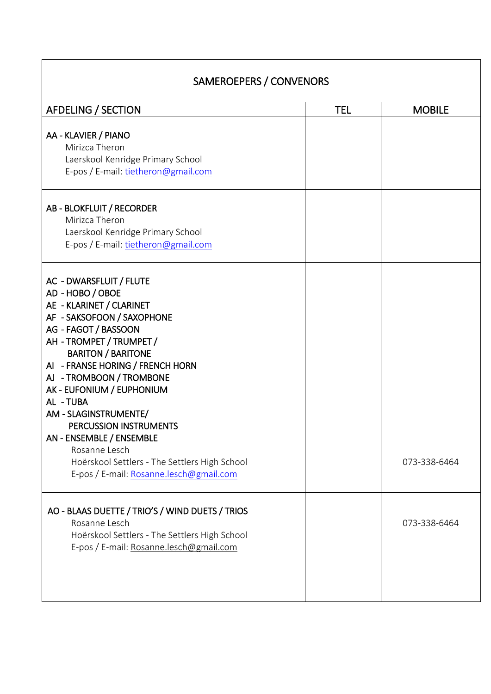| <b>AFDELING / SECTION</b>                                                                                                                                                                                                                                                                                                                                                                                                                                                                    | <b>TEL</b> | <b>MOBILE</b> |
|----------------------------------------------------------------------------------------------------------------------------------------------------------------------------------------------------------------------------------------------------------------------------------------------------------------------------------------------------------------------------------------------------------------------------------------------------------------------------------------------|------------|---------------|
| AA - KLAVIER / PIANO<br>Mirizca Theron<br>Laerskool Kenridge Primary School<br>E-pos / E-mail: tietheron@gmail.com                                                                                                                                                                                                                                                                                                                                                                           |            |               |
| AB - BLOKFLUIT / RECORDER<br>Mirizca Theron<br>Laerskool Kenridge Primary School<br>E-pos / E-mail: tietheron@gmail.com                                                                                                                                                                                                                                                                                                                                                                      |            |               |
| AC - DWARSFLUIT / FLUTE<br>AD - HOBO / OBOE<br>AE - KLARINET / CLARINET<br>AF - SAKSOFOON / SAXOPHONE<br>AG - FAGOT / BASSOON<br>AH - TROMPET / TRUMPET /<br><b>BARITON / BARITONE</b><br>AI - FRANSE HORING / FRENCH HORN<br>AJ - TROMBOON / TROMBONE<br>AK - EUFONIUM / EUPHONIUM<br>AL - TUBA<br>AM - SLAGINSTRUMENTE/<br>PERCUSSION INSTRUMENTS<br>AN - ENSEMBLE / ENSEMBLE<br>Rosanne Lesch<br>Hoërskool Settlers - The Settlers High School<br>E-pos / E-mail: Rosanne.lesch@gmail.com |            | 073-338-6464  |
| AO - BLAAS DUETTE / TRIO'S / WIND DUETS / TRIOS<br>Rosanne Lesch<br>Hoërskool Settlers - The Settlers High School<br>E-pos / E-mail: Rosanne.lesch@gmail.com                                                                                                                                                                                                                                                                                                                                 |            | 073-338-6464  |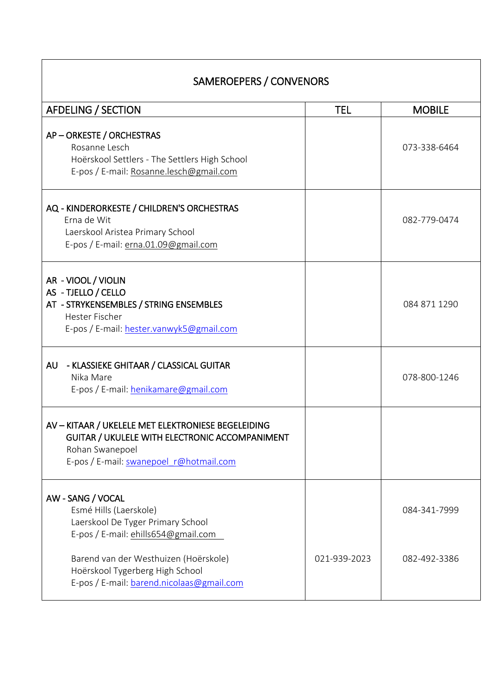| <b>AFDELING / SECTION</b>                                                                                                                                          | <b>TEL</b>   | <b>MOBILE</b> |
|--------------------------------------------------------------------------------------------------------------------------------------------------------------------|--------------|---------------|
| AP-ORKESTE / ORCHESTRAS<br>Rosanne Lesch<br>Hoërskool Settlers - The Settlers High School<br>E-pos / E-mail: Rosanne.lesch@gmail.com                               |              | 073-338-6464  |
| AQ - KINDERORKESTE / CHILDREN'S ORCHESTRAS<br>Erna de Wit<br>Laerskool Aristea Primary School<br>E-pos / E-mail: erna.01.09@gmail.com                              |              | 082-779-0474  |
| AR - VIOOL / VIOLIN<br>AS - TJELLO / CELLO<br>AT - STRYKENSEMBLES / STRING ENSEMBLES<br><b>Hester Fischer</b><br>E-pos / E-mail: hester.vanwyk5@gmail.com          |              | 084 871 1290  |
| - KLASSIEKE GHITAAR / CLASSICAL GUITAR<br>AU<br>Nika Mare<br>E-pos / E-mail: henikamare@gmail.com                                                                  |              | 078-800-1246  |
| AV - KITAAR / UKELELE MET ELEKTRONIESE BEGELEIDING<br>GUITAR / UKULELE WITH ELECTRONIC ACCOMPANIMENT<br>Rohan Swanepoel<br>E-pos / E-mail: swanepoel r@hotmail.com |              |               |
| AW - SANG / VOCAL<br>Esmé Hills (Laerskole)<br>Laerskool De Tyger Primary School<br>E-pos / E-mail: ehills654@gmail.com                                            |              | 084-341-7999  |
| Barend van der Westhuizen (Hoërskole)<br>Hoërskool Tygerberg High School<br>E-pos / E-mail: barend.nicolaas@gmail.com                                              | 021-939-2023 | 082-492-3386  |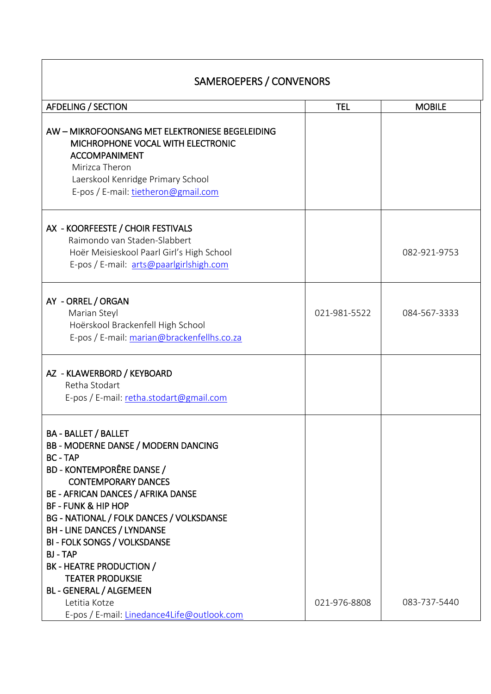| <b>AFDELING / SECTION</b>                                                                                                                                                                                                                                                                                                                                                                                                                                                                                                                | <b>TEL</b>   | <b>MOBILE</b> |
|------------------------------------------------------------------------------------------------------------------------------------------------------------------------------------------------------------------------------------------------------------------------------------------------------------------------------------------------------------------------------------------------------------------------------------------------------------------------------------------------------------------------------------------|--------------|---------------|
| AW - MIKROFOONSANG MET ELEKTRONIESE BEGELEIDING<br>MICHROPHONE VOCAL WITH ELECTRONIC<br><b>ACCOMPANIMENT</b><br>Mirizca Theron<br>Laerskool Kenridge Primary School<br>E-pos / E-mail: tietheron@gmail.com                                                                                                                                                                                                                                                                                                                               |              |               |
| AX - KOORFEESTE / CHOIR FESTIVALS<br>Raimondo van Staden-Slabbert<br>Hoër Meisieskool Paarl Girl's High School<br>E-pos / E-mail: arts@paarlgirlshigh.com                                                                                                                                                                                                                                                                                                                                                                                |              | 082-921-9753  |
| AY - ORREL / ORGAN<br>Marian Steyl<br>Hoërskool Brackenfell High School<br>E-pos / E-mail: marian@brackenfellhs.co.za                                                                                                                                                                                                                                                                                                                                                                                                                    | 021-981-5522 | 084-567-3333  |
| AZ - KLAWERBORD / KEYBOARD<br>Retha Stodart<br>E-pos / E-mail: retha.stodart@gmail.com                                                                                                                                                                                                                                                                                                                                                                                                                                                   |              |               |
| <b>BA - BALLET / BALLET</b><br><b>BB - MODERNE DANSE / MODERN DANCING</b><br><b>BC - TAP</b><br><b>BD - KONTEMPORÊRE DANSE /</b><br><b>CONTEMPORARY DANCES</b><br>BE - AFRICAN DANCES / AFRIKA DANSE<br><b>BF - FUNK &amp; HIP HOP</b><br>BG - NATIONAL / FOLK DANCES / VOLKSDANSE<br><b>BH - LINE DANCES / LYNDANSE</b><br><b>BI - FOLK SONGS / VOLKSDANSE</b><br><b>BJ-TAP</b><br>BK - HEATRE PRODUCTION /<br><b>TEATER PRODUKSIE</b><br><b>BL - GENERAL / ALGEMEEN</b><br>Letitia Kotze<br>E-pos / E-mail: Linedance4Life@outlook.com | 021-976-8808 | 083-737-5440  |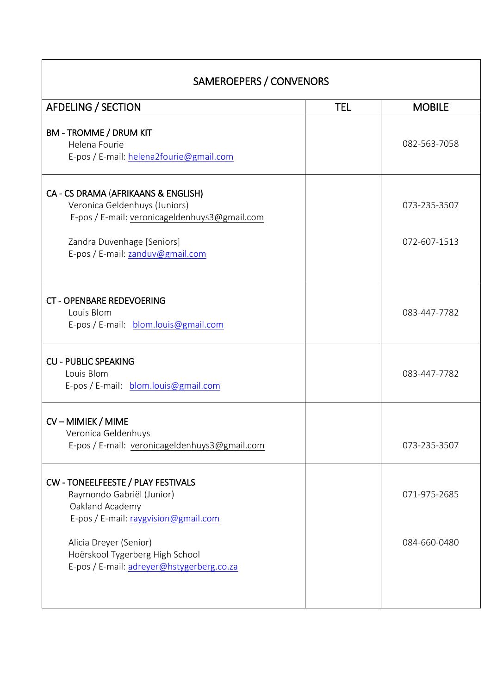| <b>AFDELING / SECTION</b>                                                                                                  | <b>TEL</b> | <b>MOBILE</b> |
|----------------------------------------------------------------------------------------------------------------------------|------------|---------------|
| <b>BM - TROMME / DRUM KIT</b><br>Helena Fourie<br>E-pos / E-mail: helena2fourie@gmail.com                                  |            | 082-563-7058  |
| CA - CS DRAMA (AFRIKAANS & ENGLISH)<br>Veronica Geldenhuys (Juniors)<br>E-pos / E-mail: veronicageldenhuys3@gmail.com      |            | 073-235-3507  |
| Zandra Duvenhage [Seniors]<br>E-pos / E-mail: zanduv@gmail.com                                                             |            | 072-607-1513  |
| <b>CT - OPENBARE REDEVOERING</b><br>Louis Blom<br>E-pos / E-mail: blom.louis@gmail.com                                     |            | 083-447-7782  |
| <b>CU - PUBLIC SPEAKING</b><br>Louis Blom<br>E-pos / E-mail: blom.louis@gmail.com                                          |            | 083-447-7782  |
|                                                                                                                            |            |               |
| CV-MIMIEK/MIME<br>Veronica Geldenhuys<br>E-pos / E-mail: veronicageldenhuys3@gmail.com                                     |            | 073-235-3507  |
| CW - TONEELFEESTE / PLAY FESTIVALS<br>Raymondo Gabriël (Junior)<br>Oakland Academy<br>E-pos / E-mail: raygvision@gmail.com |            | 071-975-2685  |
| Alicia Dreyer (Senior)<br>Hoërskool Tygerberg High School<br>E-pos / E-mail: adreyer@hstygerberg.co.za                     |            | 084-660-0480  |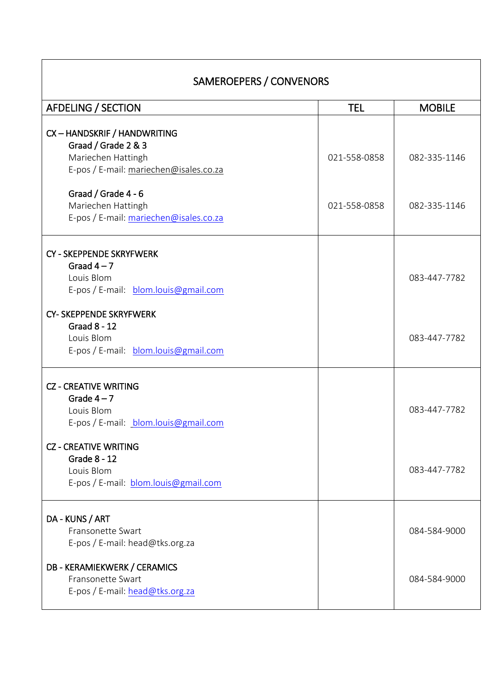| <b>AFDELING / SECTION</b>                                                                                           | <b>TEL</b>   | <b>MOBILE</b> |
|---------------------------------------------------------------------------------------------------------------------|--------------|---------------|
|                                                                                                                     |              |               |
| CX - HANDSKRIF / HANDWRITING<br>Graad / Grade 2 & 3<br>Mariechen Hattingh<br>E-pos / E-mail: mariechen@isales.co.za | 021-558-0858 | 082-335-1146  |
| Graad / Grade 4 - 6<br>Mariechen Hattingh<br>E-pos / E-mail: mariechen@isales.co.za                                 | 021-558-0858 | 082-335-1146  |
| <b>CY - SKEPPENDE SKRYFWERK</b><br>Graad $4-7$<br>Louis Blom<br>E-pos / E-mail: blom.louis@gmail.com                |              | 083-447-7782  |
| <b>CY- SKEPPENDE SKRYFWERK</b><br><b>Graad 8 - 12</b><br>Louis Blom<br>E-pos / E-mail: blom.louis@gmail.com         |              | 083-447-7782  |
| <b>CZ - CREATIVE WRITING</b><br>Grade $4-7$<br>Louis Blom<br>E-pos / E-mail: blom.louis@gmail.com                   |              | 083-447-7782  |
| <b>CZ - CREATIVE WRITING</b><br>Grade 8 - 12<br>Louis Blom<br>E-pos / E-mail: blom.louis@gmail.com                  |              | 083-447-7782  |
| DA - KUNS / ART<br>Fransonette Swart<br>E-pos / E-mail: head@tks.org.za                                             |              | 084-584-9000  |
| <b>DB - KERAMIEKWERK / CERAMICS</b><br>Fransonette Swart<br>E-pos / E-mail: head@tks.org.za                         |              | 084-584-9000  |